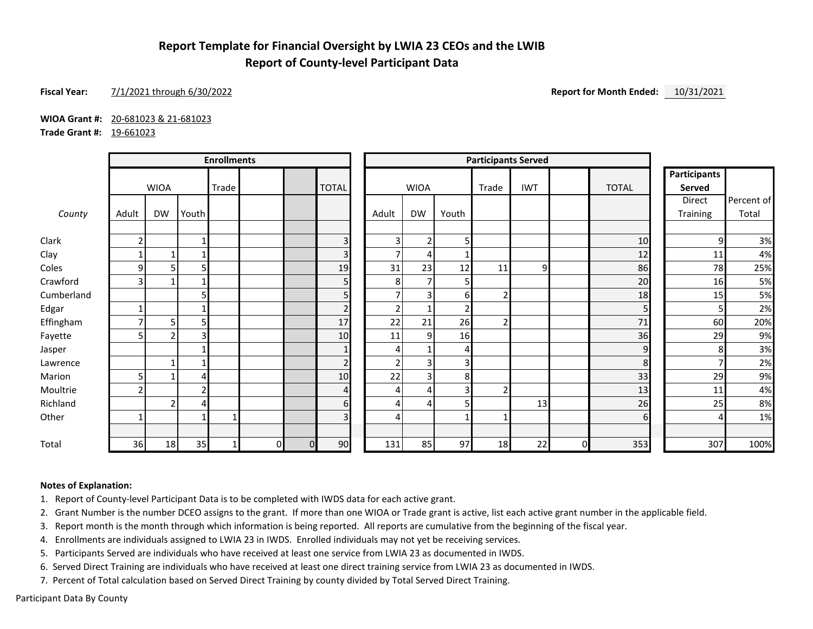## **Report Template for Financial Oversight by LWIA 23 CEOs and the LWIB Report of County-level Participant Data**

#### **Fiscal Year:** 7/1/2021 through 6/30/2022 **Report for Month Ended:** 10/31/2021

**WIOA Grant #:** 20-681023 & 21-681023

**Trade Grant #:** 19-661023

|            | <b>Enrollments</b> |                |       |       |    | <b>Participants Served</b> |                |                |                |                |                |                |    |              |                               |            |
|------------|--------------------|----------------|-------|-------|----|----------------------------|----------------|----------------|----------------|----------------|----------------|----------------|----|--------------|-------------------------------|------------|
|            |                    | <b>WIOA</b>    |       | Trade |    |                            | <b>TOTAL</b>   |                | <b>WIOA</b>    |                | Trade          | <b>IWT</b>     |    | <b>TOTAL</b> | <b>Participants</b><br>Served |            |
|            |                    |                |       |       |    |                            |                |                |                |                |                |                |    |              | Direct                        | Percent of |
| County     | Adult              | <b>DW</b>      | Youth |       |    |                            |                | Adult          | <b>DW</b>      | Youth          |                |                |    |              | Training                      | Total      |
| Clark      | ŋ                  |                |       |       |    |                            | 3              | 3 <sub>l</sub> | $\overline{2}$ | 5              |                |                |    | 10           | 9                             | 3%         |
| Clay       |                    | 1              |       |       |    |                            | 3              | $\overline{7}$ | 4              |                |                |                |    | $12\,$       | 11                            | 4%         |
| Coles      | 9                  | 5              | 5     |       |    |                            | 19             | 31             | 23             | 12             | 11             | 9 <sub>l</sub> |    | 86           | 78                            | 25%        |
| Crawford   | ς                  | 1              |       |       |    |                            | 5              | 8              | $\overline{ }$ | 5              |                |                |    | 20           | 16                            | 5%         |
| Cumberland |                    |                | 5     |       |    |                            | 5              | ⇁              | 3              | 6              |                |                |    | 18           | 15                            | 5%         |
| Edgar      |                    |                |       |       |    |                            | $\overline{2}$ | $\overline{2}$ |                | $\overline{2}$ |                |                |    | 5            | 5                             | 2%         |
| Effingham  |                    | 5              | 5     |       |    |                            | 17             | 22             | 21             | 26             | $\overline{2}$ |                |    | 71           | <b>60</b>                     | 20%        |
| Fayette    |                    | 2              | 3     |       |    |                            | 10             | 11             | 9              | 16             |                |                |    | 36           | 29                            | 9%         |
| Jasper     |                    |                |       |       |    |                            | $\mathbf{1}$   | 4              |                | 4              |                |                |    | 9            | 8                             | 3%         |
| Lawrence   |                    | $\mathbf{1}$   |       |       |    |                            | $\overline{2}$ | 2              | 3              | 3 <sub>l</sub> |                |                |    | 8            |                               | 2%         |
| Marion     |                    |                | 4     |       |    |                            | 10             | 22             | 3              | 8              |                |                |    | 33           | 29                            | 9%         |
| Moultrie   |                    |                | 2     |       |    |                            | 4              | 4              | 4              | $\overline{3}$ |                |                |    | 13           | 11                            | 4%         |
| Richland   |                    | $\overline{2}$ | 4     |       |    |                            | 6              | $\overline{4}$ | 4              | 5              |                | 13             |    | 26           | 25                            | 8%         |
| Other      |                    |                |       |       |    |                            | $\overline{3}$ | 4              |                |                |                |                |    | $6 \mid$     |                               | 1%         |
| Total      | 36                 | 18             | 35    |       | ΩI | $\Omega$                   | 90             | 131            | 85             | 97             | 18             | 22             | ΩI | 353          | 307                           | 100%       |

#### **Notes of Explanation:**

1. Report of County-level Participant Data is to be completed with IWDS data for each active grant.

2. Grant Number is the number DCEO assigns to the grant. If more than one WIOA or Trade grant is active, list each active grant number in the applicable field.

3. Report month is the month through which information is being reported. All reports are cumulative from the beginning of the fiscal year.

4. Enrollments are individuals assigned to LWIA 23 in IWDS. Enrolled individuals may not yet be receiving services.

5. Participants Served are individuals who have received at least one service from LWIA 23 as documented in IWDS.

6. Served Direct Training are individuals who have received at least one direct training service from LWIA 23 as documented in IWDS.

7. Percent of Total calculation based on Served Direct Training by county divided by Total Served Direct Training.

Participant Data By County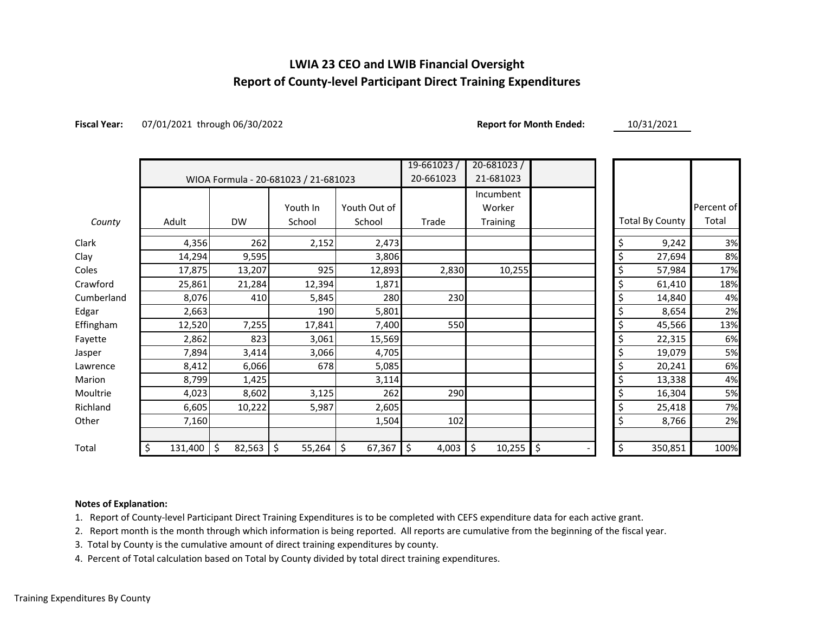## **LWIA 23 CEO and LWIB Financial Oversight Report of County-level Participant Direct Training Expenditures**

**Fiscal Year:** 07/01/2021 through 06/30/2022 **Report for Month Ended:** 10/31/2021

|            |               |              |                                      |              | $19 - 661023/$ | $20 - 681023/$ |                        |            |
|------------|---------------|--------------|--------------------------------------|--------------|----------------|----------------|------------------------|------------|
|            |               |              | WIOA Formula - 20-681023 / 21-681023 |              | 20-661023      | 21-681023      |                        |            |
|            |               |              |                                      |              |                | Incumbent      |                        |            |
|            |               |              | Youth In                             | Youth Out of |                | Worker         |                        | Percent of |
| County     | Adult         | <b>DW</b>    | School                               | School       | Trade          | Training       | <b>Total By County</b> | Total      |
| Clark      | 4,356         | 262          | 2,152                                | 2,473        |                |                | \$<br>9,242            | 3%         |
| Clay       | 14,294        | 9,595        |                                      | 3,806        |                |                | \$<br>27,694           | 8%         |
| Coles      | 17,875        | 13,207       | 925                                  | 12,893       | 2,830          | 10,255         | \$<br>57,984           | 17%        |
| Crawford   | 25,861        | 21,284       | 12,394                               | 1,871        |                |                | \$<br>61,410           | 18%        |
| Cumberland | 8,076         | 410          | 5,845                                | 280          | 230            |                | \$<br>14,840           | 4%         |
| Edgar      | 2,663         |              | 190                                  | 5,801        |                |                | \$<br>8,654            | 2%         |
| Effingham  | 12,520        | 7,255        | 17,841                               | 7,400        | 550            |                | \$<br>45,566           | 13%        |
| Fayette    | 2,862         | 823          | 3,061                                | 15,569       |                |                | \$<br>22,315           | 6%         |
| Jasper     | 7,894         | 3,414        | 3,066                                | 4,705        |                |                | \$<br>19,079           | 5%         |
| Lawrence   | 8,412         | 6,066        | 678                                  | 5,085        |                |                | \$<br>20,241           | 6%         |
| Marion     | 8,799         | 1,425        |                                      | 3,114        |                |                | \$<br>13,338           | 4%         |
| Moultrie   | 4,023         | 8,602        | 3,125                                | 262          | 290            |                | \$<br>16,304           | 5%         |
| Richland   | 6,605         | 10,222       | 5,987                                | 2,605        |                |                | \$<br>25,418           | 7%         |
| Other      | 7,160         |              |                                      | 1,504        | 102            |                | \$<br>8,766            | 2%         |
| Total      | \$<br>131,400 | \$<br>82,563 | \$<br>55,264                         | \$<br>67,367 | \$<br>4,003    | \$<br>10,255   | \$<br>\$<br>350,851    | 100%       |

#### **Notes of Explanation:**

1. Report of County-level Participant Direct Training Expenditures is to be completed with CEFS expenditure data for each active grant.

2. Report month is the month through which information is being reported. All reports are cumulative from the beginning of the fiscal year.

3. Total by County is the cumulative amount of direct training expenditures by county.

4. Percent of Total calculation based on Total by County divided by total direct training expenditures.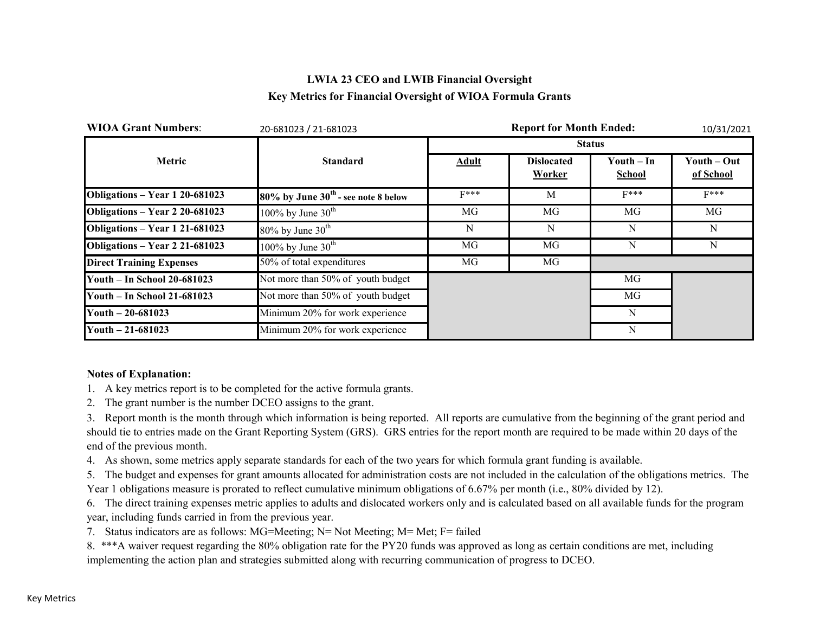## **LWIA 23 CEO and LWIB Financial Oversight Key Metrics for Financial Oversight of WIOA Formula Grants**

| <b>WIOA Grant Numbers:</b>         | 20-681023 / 21-681023                    |              | <b>Report for Month Ended:</b> |                             | 10/31/2021               |  |
|------------------------------------|------------------------------------------|--------------|--------------------------------|-----------------------------|--------------------------|--|
|                                    |                                          |              |                                | <b>Status</b>               |                          |  |
| Metric                             | <b>Standard</b>                          | <b>Adult</b> | <b>Dislocated</b><br>Worker    | $Youth-In$<br><b>School</b> | Youth – Out<br>of School |  |
| Obligations - Year 1 20-681023     | $80\%$ by June $30th$ - see note 8 below | $F***$       | M                              | $F***$                      | $F***$                   |  |
| Obligations - Year 2 20-681023     | 100% by June $30^{\text{th}}$            | MG           | MG                             | MG                          | MG                       |  |
| Obligations - Year 1 21-681023     | $80\%$ by June $30th$                    | N            | N                              | N                           | N                        |  |
| Obligations - Year 2 21-681023     | 100% by June $30^{\text{th}}$            | MG           | MG                             | N                           | N                        |  |
| <b>Direct Training Expenses</b>    | 50% of total expenditures                | MG           | MG                             |                             |                          |  |
| <b>Youth - In School 20-681023</b> | Not more than 50% of youth budget        |              |                                | MG                          |                          |  |
| Youth - In School 21-681023        | Not more than 50% of youth budget        |              |                                | MG                          |                          |  |
| Youth $-20-681023$                 | Minimum 20% for work experience          |              |                                | N                           |                          |  |
| Youth $-21-681023$                 | Minimum 20% for work experience          |              |                                | N                           |                          |  |

#### **Notes of Explanation:**

- 1. A key metrics report is to be completed for the active formula grants.
- 2. The grant number is the number DCEO assigns to the grant.

3. Report month is the month through which information is being reported. All reports are cumulative from the beginning of the grant period and should tie to entries made on the Grant Reporting System (GRS). GRS entries for the report month are required to be made within 20 days of the end of the previous month.

4. As shown, some metrics apply separate standards for each of the two years for which formula grant funding is available.

5. The budget and expenses for grant amounts allocated for administration costs are not included in the calculation of the obligations metrics. The Year 1 obligations measure is prorated to reflect cumulative minimum obligations of 6.67% per month (i.e., 80% divided by 12).

6. The direct training expenses metric applies to adults and dislocated workers only and is calculated based on all available funds for the program year, including funds carried in from the previous year.

7. Status indicators are as follows: MG=Meeting; N= Not Meeting; M= Met; F= failed

8. \*\*\*A waiver request regarding the 80% obligation rate for the PY20 funds was approved as long as certain conditions are met, including implementing the action plan and strategies submitted along with recurring communication of progress to DCEO.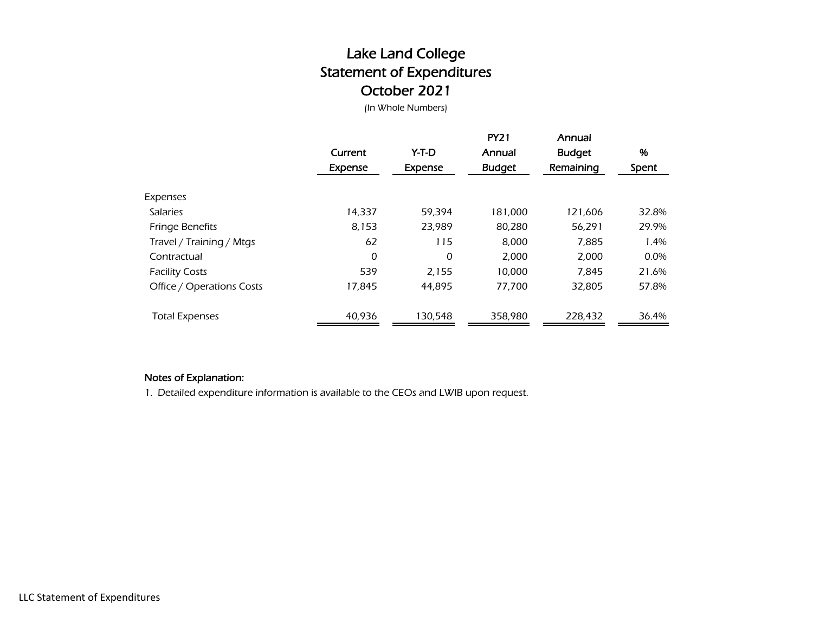# Lake Land College Statement of Expenditures October 2021

(In Whole Numbers)

|                           | Current<br>Expense | Y-T-D<br><b>Expense</b> | <b>PY21</b><br>Annual<br><b>Budget</b> | Annual<br><b>Budget</b><br>Remaining | %<br>Spent |
|---------------------------|--------------------|-------------------------|----------------------------------------|--------------------------------------|------------|
| Expenses                  |                    |                         |                                        |                                      |            |
| <b>Salaries</b>           | 14,337             | 59.394                  | 181,000                                | 121,606                              | 32.8%      |
| <b>Fringe Benefits</b>    | 8,153              | 23.989                  | 80,280                                 | 56,291                               | 29.9%      |
| Travel / Training / Mtgs  | 62                 | 115                     | 8,000                                  | 7,885                                | 1.4%       |
| Contractual               | 0                  | 0                       | 2,000                                  | 2,000                                | $0.0\%$    |
| <b>Facility Costs</b>     | 539                | 2,155                   | 10,000                                 | 7.845                                | 21.6%      |
| Office / Operations Costs | 17,845             | 44.895                  | 77,700                                 | 32,805                               | 57.8%      |
| <b>Total Expenses</b>     | 40,936             | 130.548                 | 358,980                                | 228,432                              | 36.4%      |

### Notes of Explanation:

1. Detailed expenditure information is available to the CEOs and LWIB upon request.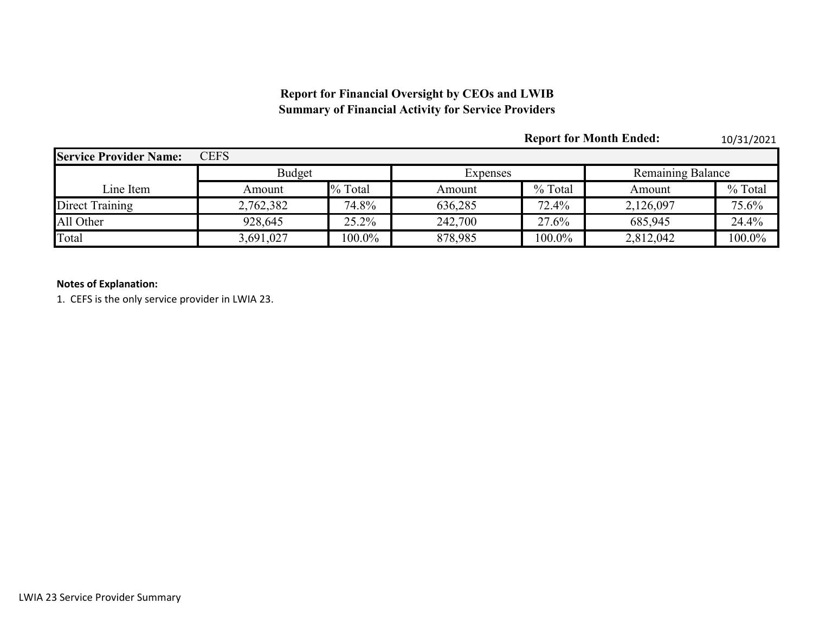## **Report for Financial Oversight by CEOs and LWIB Summary of Financial Activity for Service Providers**

|                               |               |           |          | <b>Report for Month Ended:</b> |                          | 10/31/2021 |  |
|-------------------------------|---------------|-----------|----------|--------------------------------|--------------------------|------------|--|
| <b>Service Provider Name:</b> | <b>CEFS</b>   |           |          |                                |                          |            |  |
|                               | <b>Budget</b> |           | Expenses |                                | <b>Remaining Balance</b> |            |  |
| Line Item                     | Amount        | % Total   | Amount   | % Total                        | Amount                   | % Total    |  |
| Direct Training               | 2,762,382     | 74.8%     | 636,285  | 72.4%                          | 2,126,097                | 75.6%      |  |
| All Other                     | 928,645       | 25.2%     | 242,700  | 27.6%                          | 685,945                  | 24.4%      |  |
| Total                         | 3,691,027     | $100.0\%$ | 878,985  | $100.0\%$                      | 2,812,042                | 100.0%     |  |

### **Notes of Explanation:**

1. CEFS is the only service provider in LWIA 23.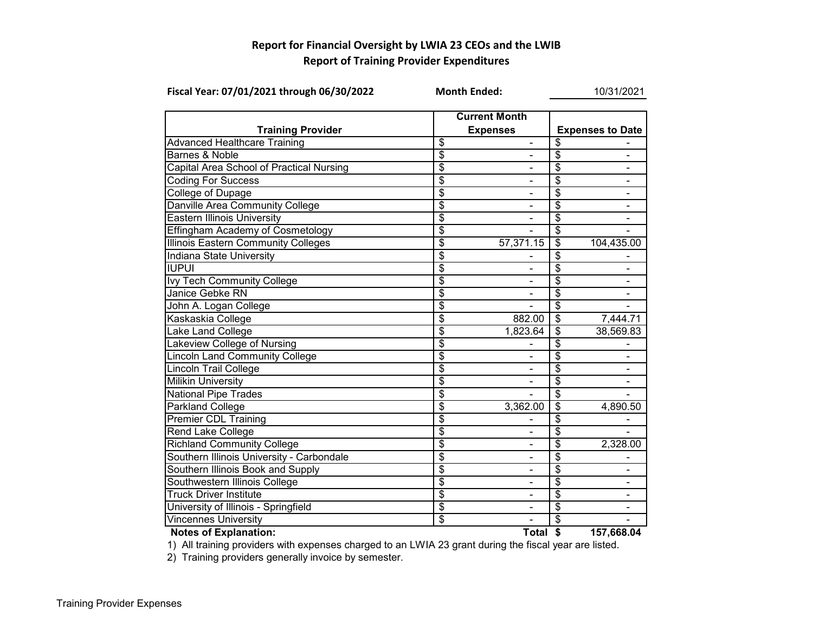## **Report for Financial Oversight by LWIA 23 CEOs and the LWIB Report of Training Provider Expenditures**

| Fiscal Year: 07/01/2021 through 06/30/2022 |                                         | <b>Month Ended:</b>      | 10/31/2021                       |                          |  |  |
|--------------------------------------------|-----------------------------------------|--------------------------|----------------------------------|--------------------------|--|--|
| <b>Training Provider</b>                   | <b>Current Month</b><br><b>Expenses</b> |                          |                                  | <b>Expenses to Date</b>  |  |  |
| <b>Advanced Healthcare Training</b>        | \$                                      | -                        | \$                               |                          |  |  |
| <b>Barnes &amp; Noble</b>                  | \$                                      | ۰                        | \$                               | $\blacksquare$           |  |  |
| Capital Area School of Practical Nursing   | $\overline{\mathcal{S}}$                |                          | $\overline{\mathcal{E}}$         | $\overline{\phantom{a}}$ |  |  |
| <b>Coding For Success</b>                  | $\overline{\$}$                         |                          | $\overline{\$}$                  | $\blacksquare$           |  |  |
| <b>College of Dupage</b>                   | $\overline{\$}$                         |                          | $\overline{\boldsymbol{\theta}}$ |                          |  |  |
| Danville Area Community College            | $\overline{\boldsymbol{\mathsf{s}}}$    |                          | \$                               |                          |  |  |
| <b>Eastern Illinois University</b>         | $\overline{\$}$                         |                          | \$                               |                          |  |  |
| <b>Effingham Academy of Cosmetology</b>    | $\overline{\mathcal{S}}$                |                          | $\overline{\mathcal{S}}$         |                          |  |  |
| <b>Illinois Eastern Community Colleges</b> | $\overline{\mathcal{S}}$                | 57,371.15                | \$                               | 104,435.00               |  |  |
| <b>Indiana State University</b>            | $\overline{\$}$                         |                          | $\overline{\$}$                  |                          |  |  |
| <b>IUPUI</b>                               | $\overline{\mathcal{S}}$                |                          | $\overline{\$}$                  |                          |  |  |
| Ivy Tech Community College                 | $\overline{\$}$                         |                          | $\overline{\$}$                  |                          |  |  |
| Janice Gebke RN                            | $\overline{\$}$                         | ۰                        | $\overline{\$}$                  |                          |  |  |
| John A. Logan College                      | $\overline{\mathcal{S}}$                |                          | $\overline{\mathcal{E}}$         |                          |  |  |
| Kaskaskia College                          | $\overline{\$}$                         | 882.00                   | $\overline{\$}$                  | 7,444.71                 |  |  |
| Lake Land College                          | \$                                      | 1,823.64                 | $\overline{\boldsymbol{\theta}}$ | 38,569.83                |  |  |
| Lakeview College of Nursing                | $\overline{\mathbb{S}}$                 |                          | $\overline{\mathcal{S}}$         |                          |  |  |
| <b>Lincoln Land Community College</b>      | $\overline{\$}$                         |                          | \$                               |                          |  |  |
| <b>Lincoln Trail College</b>               | \$                                      |                          | \$                               |                          |  |  |
| <b>Milikin University</b>                  | $\overline{\mathcal{S}}$                |                          | \$                               |                          |  |  |
| <b>National Pipe Trades</b>                | $\overline{\$}$                         |                          | $\overline{\$}$                  |                          |  |  |
| Parkland College                           | $\overline{\$}$                         | 3,362.00                 | $\overline{\$}$                  | 4,890.50                 |  |  |
| <b>Premier CDL Training</b>                | $\overline{\mathcal{S}}$                |                          | $\overline{\mathcal{E}}$         |                          |  |  |
| <b>Rend Lake College</b>                   | $\overline{\$}$                         |                          | $\overline{\$}$                  |                          |  |  |
| <b>Richland Community College</b>          | \$                                      | ۰                        | \$                               | 2,328.00                 |  |  |
| Southern Illinois University - Carbondale  | $\overline{\$}$                         | $\blacksquare$           | \$                               |                          |  |  |
| Southern Illinois Book and Supply          | $\overline{\$}$                         | $\overline{\phantom{0}}$ | \$                               | $\blacksquare$           |  |  |
| Southwestern Illinois College              | \$                                      |                          | $\overline{\mathcal{E}}$         |                          |  |  |
| <b>Truck Driver Institute</b>              | $\overline{\$}$                         |                          | $\overline{\$}$                  |                          |  |  |
| University of Illinois - Springfield       | $\overline{\$}$                         |                          | \$                               |                          |  |  |
| <b>Vincennes University</b>                | $\overline{\boldsymbol{\mathsf{s}}}$    |                          | \$                               |                          |  |  |
| <b>Notes of Explanation:</b>               |                                         | Total $$$                |                                  | 157,668.04               |  |  |



1) All training providers with expenses charged to an LWIA 23 grant during the fiscal year are listed.

2) Training providers generally invoice by semester.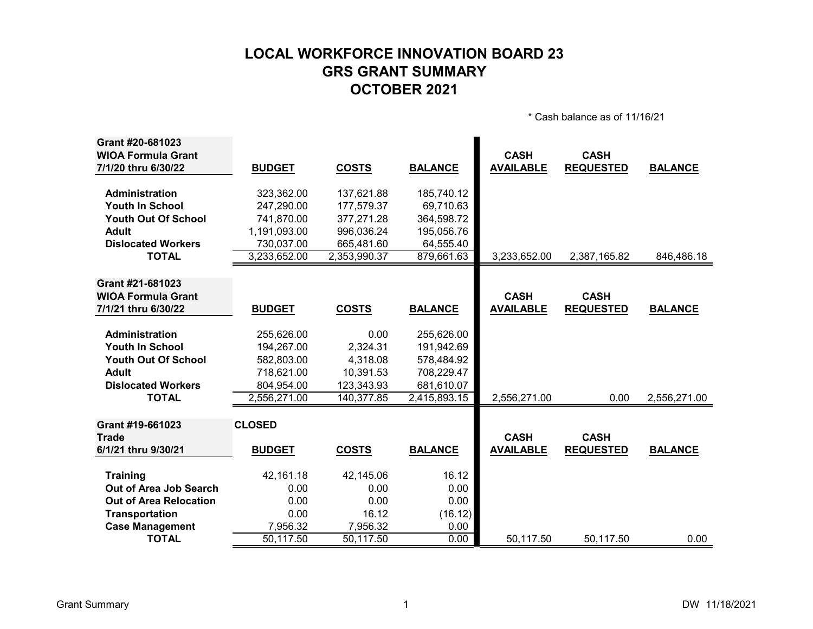# **LOCAL WORKFORCE INNOVATION BOARD 23 GRS GRANT SUMMARY OCTOBER 2021**

\* Cash balance as of 11/16/21

| Grant #20-681023<br><b>WIOA Formula Grant</b> |               |              |                | <b>CASH</b>      | <b>CASH</b>      |                |
|-----------------------------------------------|---------------|--------------|----------------|------------------|------------------|----------------|
| 7/1/20 thru 6/30/22                           | <b>BUDGET</b> | <b>COSTS</b> | <b>BALANCE</b> | <b>AVAILABLE</b> | <b>REQUESTED</b> | <b>BALANCE</b> |
| Administration                                | 323,362.00    | 137,621.88   | 185,740.12     |                  |                  |                |
| <b>Youth In School</b>                        | 247,290.00    | 177,579.37   | 69,710.63      |                  |                  |                |
| <b>Youth Out Of School</b>                    | 741,870.00    | 377,271.28   | 364,598.72     |                  |                  |                |
| <b>Adult</b>                                  | 1,191,093.00  | 996,036.24   | 195,056.76     |                  |                  |                |
| <b>Dislocated Workers</b>                     | 730,037.00    | 665,481.60   | 64,555.40      |                  |                  |                |
| <b>TOTAL</b>                                  | 3,233,652.00  | 2,353,990.37 | 879,661.63     | 3,233,652.00     | 2,387,165.82     | 846,486.18     |
| Grant #21-681023                              |               |              |                |                  |                  |                |
| <b>WIOA Formula Grant</b>                     |               |              |                | <b>CASH</b>      | <b>CASH</b>      |                |
| 7/1/21 thru 6/30/22                           | <b>BUDGET</b> | <b>COSTS</b> | <b>BALANCE</b> | <b>AVAILABLE</b> | <b>REQUESTED</b> | <b>BALANCE</b> |
|                                               |               |              |                |                  |                  |                |
| <b>Administration</b>                         | 255,626.00    | 0.00         | 255,626.00     |                  |                  |                |
| <b>Youth In School</b>                        | 194,267.00    | 2,324.31     | 191,942.69     |                  |                  |                |
| <b>Youth Out Of School</b>                    | 582,803.00    | 4,318.08     | 578,484.92     |                  |                  |                |
| <b>Adult</b>                                  | 718,621.00    | 10,391.53    | 708,229.47     |                  |                  |                |
| <b>Dislocated Workers</b>                     | 804,954.00    | 123,343.93   | 681,610.07     |                  |                  |                |
| <b>TOTAL</b>                                  | 2,556,271.00  | 140,377.85   | 2,415,893.15   | 2,556,271.00     | 0.00             | 2,556,271.00   |
|                                               |               |              |                |                  |                  |                |
| Grant #19-661023<br><b>Trade</b>              | <b>CLOSED</b> |              |                | <b>CASH</b>      | <b>CASH</b>      |                |
| 6/1/21 thru 9/30/21                           | <b>BUDGET</b> | <b>COSTS</b> | <b>BALANCE</b> | <b>AVAILABLE</b> | <b>REQUESTED</b> | <b>BALANCE</b> |
| <b>Training</b>                               | 42,161.18     | 42,145.06    | 16.12          |                  |                  |                |
| Out of Area Job Search                        | 0.00          | 0.00         | 0.00           |                  |                  |                |
| <b>Out of Area Relocation</b>                 | 0.00          | 0.00         | 0.00           |                  |                  |                |
| <b>Transportation</b>                         | 0.00          | 16.12        | (16.12)        |                  |                  |                |
| <b>Case Management</b>                        | 7,956.32      | 7,956.32     | 0.00           |                  |                  |                |
| <b>TOTAL</b>                                  | 50,117.50     | 50,117.50    | 0.00           | 50,117.50        | 50,117.50        | 0.00           |